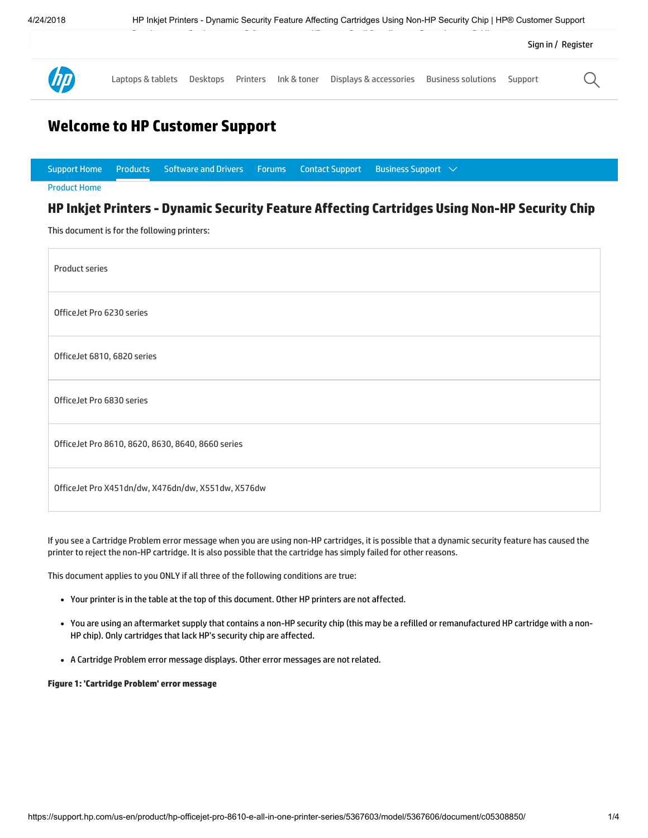

## Welcome to HP Customer Support

|                                                                                               |  | Support Home $\quad$ Products $\quad$ Software and Drivers $\quad$ Forums $\quad$ Contact Support $\quad$ Business Support $\ \lor$ |  |  |  |  |
|-----------------------------------------------------------------------------------------------|--|-------------------------------------------------------------------------------------------------------------------------------------|--|--|--|--|
| <b>Product Home</b>                                                                           |  |                                                                                                                                     |  |  |  |  |
| HP Inkjet Printers - Dynamic Security Feature Affecting Cartridges Using Non-HP Security Chip |  |                                                                                                                                     |  |  |  |  |

This document is for the following printers:

| Product series                                     |
|----------------------------------------------------|
| OfficeJet Pro 6230 series                          |
| OfficeJet 6810, 6820 series                        |
| OfficeJet Pro 6830 series                          |
| OfficeJet Pro 8610, 8620, 8630, 8640, 8660 series  |
| OfficeJet Pro X451dn/dw, X476dn/dw, X551dw, X576dw |

If you see a Cartridge Problem error message when you are using non-HP cartridges, it is possible that a dynamic security feature has caused the printer to reject the non-HP cartridge. It is also possible that the cartridge has simply failed for other reasons.

This document applies to you ONLY if all three of the following conditions are true:

- Your printer is in the table at the top of this document. Other HP printers are not affected.
- You are using an aftermarket supply that contains a non-HP security chip (this may be a refilled or remanufactured HP cartridge with a non-HP chip). Only cartridges that lack HP's security chip are affected.
- A Cartridge Problem error message displays. Other error messages are not related.

#### Figure 1: 'Cartridge Problem' error message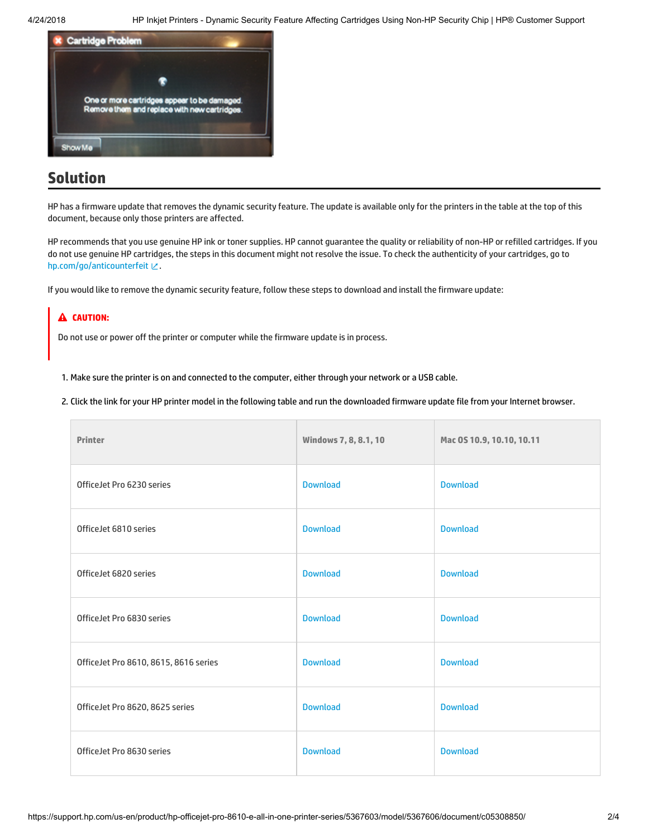

# Solution

HP has a firmware update that removes the dynamic security feature. The update is available only for the printers in the table at the top of this document, because only those printers are affected.

HP recommends that you use genuine HP ink or toner supplies. HP cannot guarantee the quality or reliability of non-HP or refilled cartridges. If you do not use genuine HP cartridges, the steps in this document might not resolve the issue. To check the authenticity of your cartridges, go to [hp.com/go/anticounterfeit](http://hp.com/go/anticounterfeit) ピ.

If you would like to remove the dynamic security feature, follow these steps to download and install the firmware update:

### **A** CAUTION:

Do not use or power off the printer or computer while the firmware update is in process.

1. Make sure the printer is on and connected to the computer, either through your network or a USB cable.

2. Click the link for your HP printer model in the following table and run the downloaded firmware update file from your Internet browser.

| <b>Printer</b>                        | <b>Windows 7, 8, 8.1, 10</b> | Mac 0S 10.9, 10.10, 10.11 |
|---------------------------------------|------------------------------|---------------------------|
| OfficeJet Pro 6230 series             | <b>Download</b>              | <b>Download</b>           |
| OfficeJet 6810 series                 | <b>Download</b>              | <b>Download</b>           |
| OfficeJet 6820 series                 | <b>Download</b>              | <b>Download</b>           |
| OfficeJet Pro 6830 series             | <b>Download</b>              | <b>Download</b>           |
| OfficeJet Pro 8610, 8615, 8616 series | <b>Download</b>              | <b>Download</b>           |
| OfficeJet Pro 8620, 8625 series       | <b>Download</b>              | <b>Download</b>           |
| OfficeJet Pro 8630 series             | <b>Download</b>              | <b>Download</b>           |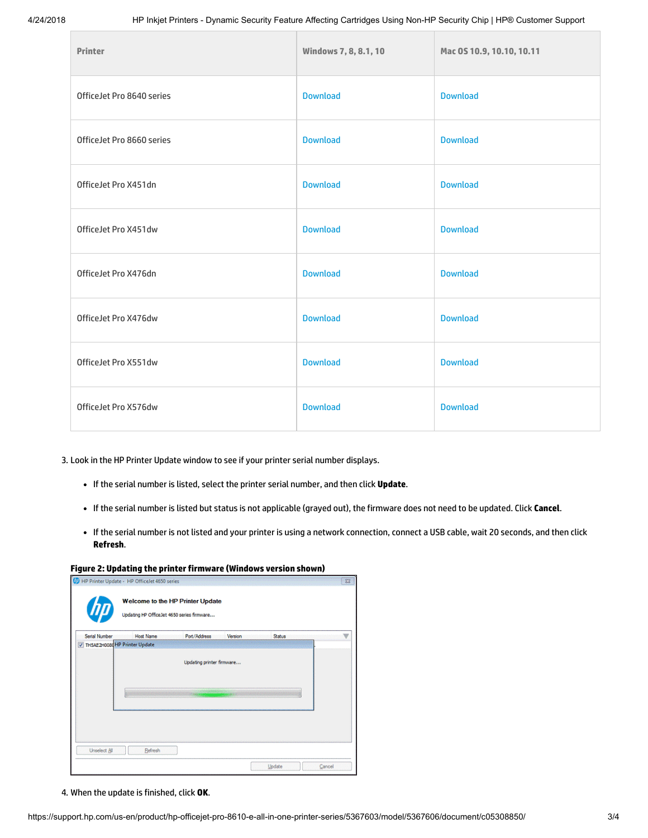| <b>Printer</b>            | Windows 7, 8, 8.1, 10 | Mac 0S 10.9, 10.10, 10.11 |
|---------------------------|-----------------------|---------------------------|
| OfficeJet Pro 8640 series | <b>Download</b>       | <b>Download</b>           |
| OfficeJet Pro 8660 series | <b>Download</b>       | <b>Download</b>           |
| OfficeJet Pro X451dn      | <b>Download</b>       | <b>Download</b>           |
| OfficeJet Pro X451dw      | <b>Download</b>       | <b>Download</b>           |
| OfficeJet Pro X476dn      | <b>Download</b>       | <b>Download</b>           |
| OfficeJet Pro X476dw      | <b>Download</b>       | <b>Download</b>           |
| OfficeJet Pro X551dw      | <b>Download</b>       | <b>Download</b>           |
| OfficeJet Pro X576dw      | <b>Download</b>       | <b>Download</b>           |

3. Look in the HP Printer Update window to see if your printer serial number displays.

- If the serial number is listed, select the printer serial number, and then click Update.
- If the serial number is listed but status is not applicable (grayed out), the firmware does not need to be updated. Click Cancel.
- If the serial number is not listed and your printer is using a network connection, connect a USB cable, wait 20 seconds, and then click Refresh.

#### Figure 2: Updating the printer firmware (Windows version shown)

|                                 | <b>Host Name</b> | Port/Address            | Version | Status |  |
|---------------------------------|------------------|-------------------------|---------|--------|--|
| V TH5AE2H0080 HP Printer Update |                  |                         |         |        |  |
|                                 |                  | <b>CONTRACTOR SPACE</b> |         |        |  |
|                                 |                  |                         |         |        |  |

4. When the update is finished, click OK.